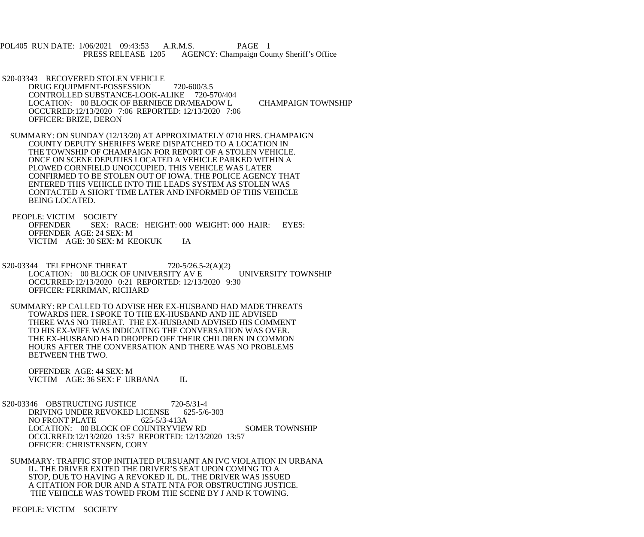POL405 RUN DATE: 1/06/2021 09:43:53 A.R.M.S. PAGE 1 PRESS RELEASE 1205 AGENCY: Champaign County Sheriff's Office

- S20-03343 RECOVERED STOLEN VEHICLE DRUG EQUIPMENT-POSSESSION 720-600/3.5 CONTROLLED SUBSTANCE-LOOK-ALIKE 720-570/404 LOCATION: 00 BLOCK OF BERNIECE DR/MEADOW L CHAMPAIGN TOWNSHIP OCCURRED:12/13/2020 7:06 REPORTED: 12/13/2020 7:06 OFFICER: BRIZE, DERON
- SUMMARY: ON SUNDAY (12/13/20) AT APPROXIMATELY 0710 HRS. CHAMPAIGN COUNTY DEPUTY SHERIFFS WERE DISPATCHED TO A LOCATION IN THE TOWNSHIP OF CHAMPAIGN FOR REPORT OF A STOLEN VEHICLE. ONCE ON SCENE DEPUTIES LOCATED A VEHICLE PARKED WITHIN A PLOWED CORNFIELD UNOCCUPIED. THIS VEHICLE WAS LATER CONFIRMED TO BE STOLEN OUT OF IOWA. THE POLICE AGENCY THAT ENTERED THIS VEHICLE INTO THE LEADS SYSTEM AS STOLEN WAS CONTACTED A SHORT TIME LATER AND INFORMED OF THIS VEHICLE BEING LOCATED.

 PEOPLE: VICTIM SOCIETY OFFENDER SEX: RACE: HEIGHT: 000 WEIGHT: 000 HAIR: EYES: OFFENDER AGE: 24 SEX: M VICTIM AGE: 30 SEX: M KEOKUK IA

- S20-03344 TELEPHONE THREAT 720-5/26.5-2(A)(2) LOCATION: 00 BLOCK OF UNIVERSITY AV E UNIVERSITY TOWNSHIP OCCURRED:12/13/2020 0:21 REPORTED: 12/13/2020 9:30 OFFICER: FERRIMAN, RICHARD
- SUMMARY: RP CALLED TO ADVISE HER EX-HUSBAND HAD MADE THREATS TOWARDS HER. I SPOKE TO THE EX-HUSBAND AND HE ADVISED THERE WAS NO THREAT. THE EX-HUSBAND ADVISED HIS COMMENT TO HIS EX-WIFE WAS INDICATING THE CONVERSATION WAS OVER. THE EX-HUSBAND HAD DROPPED OFF THEIR CHILDREN IN COMMON HOURS AFTER THE CONVERSATION AND THERE WAS NO PROBLEMS BETWEEN THE TWO.

 OFFENDER AGE: 44 SEX: M VICTIM AGE: 36 SEX: F URBANA IL

 S20-03346 OBSTRUCTING JUSTICE 720-5/31-4 DRIVING UNDER REVOKED LICENSE 625-5/6-303<br>NO FRONT PLATE 625-5/3-413A NO FRONT PLATE LOCATION: 00 BLOCK OF COUNTRYVIEW RD SOMER TOWNSHIP OCCURRED:12/13/2020 13:57 REPORTED: 12/13/2020 13:57 OFFICER: CHRISTENSEN, CORY

 SUMMARY: TRAFFIC STOP INITIATED PURSUANT AN IVC VIOLATION IN URBANA IL. THE DRIVER EXITED THE DRIVER'S SEAT UPON COMING TO A STOP, DUE TO HAVING A REVOKED IL DL. THE DRIVER WAS ISSUED A CITATION FOR DUR AND A STATE NTA FOR OBSTRUCTING JUSTICE. THE VEHICLE WAS TOWED FROM THE SCENE BY J AND K TOWING.

PEOPLE: VICTIM SOCIETY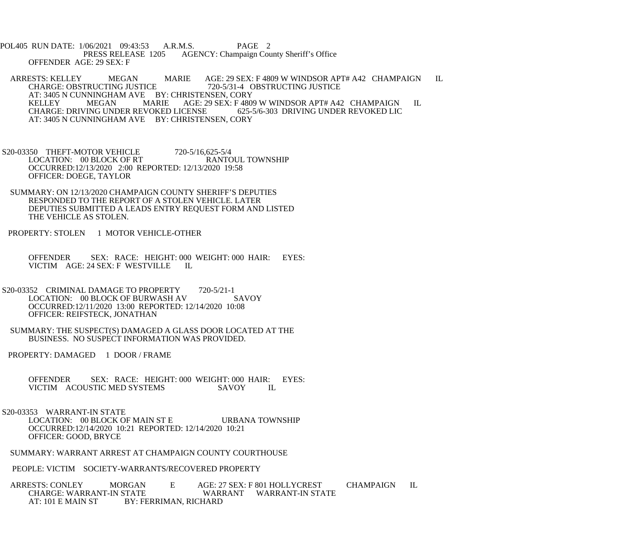POL405 RUN DATE: 1/06/2021 09:43:53 A.R.M.S. PAGE 2<br>PRESS RELEASE 1205 AGENCY: Champaign Cou AGENCY: Champaign County Sheriff's Office OFFENDER AGE: 29 SEX: F

ARRESTS: KELLEY MEGAN MARIE AGE: 29 SEX: F 4809 W WINDSOR APT# A42 CHAMPAIGN IL CHARGE: OBSTRUCTING JUSTICE 720-5/31-4 OBSTRUCTING JUSTICE 720-5/31-4 OBSTRUCTING JUSTICE AT: 3405 N CUNNINGHAM AVE BY: CHRISTENSEN, CORY<br>KELLEY MEGAN MARIE AGE: 29 SEX: F 480 KELLEY MEGAN MARIE AGE: 29 SEX: F 4809 W WINDSOR APT# A42 CHAMPAIGN IL CHARGE: DRIVING UNDER REVOKED LIC CHARGE: DRIVING UNDER REVOKED LICENSE AT: 3405 N CUNNINGHAM AVE BY: CHRISTENSEN, CORY

S20-03350 THEFT-MOTOR VEHICLE 720-5/16,625-5/4<br>LOCATION: 00 BLOCK OF RT RANTOUL TOWNSHIP LOCATION: 00 BLOCK OF RT OCCURRED:12/13/2020 2:00 REPORTED: 12/13/2020 19:58 OFFICER: DOEGE, TAYLOR

 SUMMARY: ON 12/13/2020 CHAMPAIGN COUNTY SHERIFF'S DEPUTIES RESPONDED TO THE REPORT OF A STOLEN VEHICLE. LATER DEPUTIES SUBMITTED A LEADS ENTRY REQUEST FORM AND LISTED THE VEHICLE AS STOLEN.

PROPERTY: STOLEN 1 MOTOR VEHICLE-OTHER

 OFFENDER SEX: RACE: HEIGHT: 000 WEIGHT: 000 HAIR: EYES: VICTIM AGE: 24 SEX: F WESTVILLE IL

S20-03352 CRIMINAL DAMAGE TO PROPERTY 720-5/21-1<br>LOCATION: 00 BLOCK OF BURWASH AV SAVOY LOCATION: 00 BLOCK OF BURWASH AV OCCURRED:12/11/2020 13:00 REPORTED: 12/14/2020 10:08 OFFICER: REIFSTECK, JONATHAN

 SUMMARY: THE SUSPECT(S) DAMAGED A GLASS DOOR LOCATED AT THE BUSINESS. NO SUSPECT INFORMATION WAS PROVIDED.

PROPERTY: DAMAGED 1 DOOR / FRAME

OFFENDER SEX: RACE: HEIGHT: 000 WEIGHT: 000 HAIR: EYES: VICTIM ACOUSTIC MED SYSTEMS SAVOY IL VICTIM ACOUSTIC MED SYSTEMS

S20-03353 WARRANT-IN STATE

LOCATION: 00 BLOCK OF MAIN ST E URBANA TOWNSHIP OCCURRED:12/14/2020 10:21 REPORTED: 12/14/2020 10:21 OFFICER: GOOD, BRYCE

SUMMARY: WARRANT ARREST AT CHAMPAIGN COUNTY COURTHOUSE

PEOPLE: VICTIM SOCIETY-WARRANTS/RECOVERED PROPERTY

ARRESTS: CONLEY MORGAN E AGE: 27 SEX: F 801 HOLLYCREST CHAMPAIGN IL<br>CHARGE: WARRANT-IN STATE WARRANT WARRANT-IN STATE WARRANT WARRANT-IN STATE AT: 101 E MAIN ST BY: FERRIMAN, RICHARD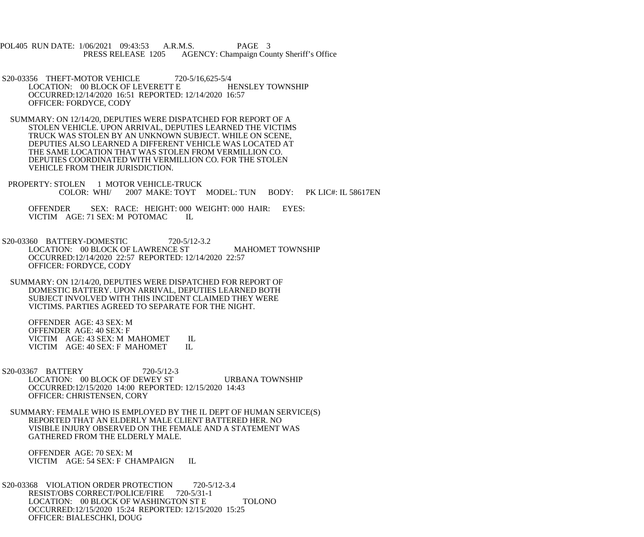POL405 RUN DATE: 1/06/2021 09:43:53 A.R.M.S. PAGE 3 PRESS RELEASE 1205 AGENCY: Champaign County Sheriff's Office

- S20-03356 THEFT-MOTOR VEHICLE 720-5/16,625-5/4 LOCATION: 00 BLOCK OF LEVERETT E HENSLEY TOWNSHIP OCCURRED:12/14/2020 16:51 REPORTED: 12/14/2020 16:57 OFFICER: FORDYCE, CODY
- SUMMARY: ON 12/14/20, DEPUTIES WERE DISPATCHED FOR REPORT OF A STOLEN VEHICLE. UPON ARRIVAL, DEPUTIES LEARNED THE VICTIMS TRUCK WAS STOLEN BY AN UNKNOWN SUBJECT. WHILE ON SCENE, DEPUTIES ALSO LEARNED A DIFFERENT VEHICLE WAS LOCATED AT THE SAME LOCATION THAT WAS STOLEN FROM VERMILLION CO. DEPUTIES COORDINATED WITH VERMILLION CO. FOR THE STOLEN VEHICLE FROM THEIR JURISDICTION.
- PROPERTY: STOLEN 1 MOTOR VEHICLE-TRUCK<br>COLOR: WHI/ 2007 MAKE: TOYT 2007 MAKE: TOYT MODEL: TUN BODY: PK LIC#: IL 58617EN

 OFFENDER SEX: RACE: HEIGHT: 000 WEIGHT: 000 HAIR: EYES: VICTIM AGE: 71 SEX: M POTOMAC IL

- S20-03360 BATTERY-DOMESTIC 720-5/12-3.2 LOCATION: 00 BLOCK OF LAWRENCE ST MAHOMET TOWNSHIP OCCURRED:12/14/2020 22:57 REPORTED: 12/14/2020 22:57 OFFICER: FORDYCE, CODY
- SUMMARY: ON 12/14/20, DEPUTIES WERE DISPATCHED FOR REPORT OF DOMESTIC BATTERY. UPON ARRIVAL, DEPUTIES LEARNED BOTH SUBJECT INVOLVED WITH THIS INCIDENT CLAIMED THEY WERE VICTIMS. PARTIES AGREED TO SEPARATE FOR THE NIGHT.

 OFFENDER AGE: 43 SEX: M OFFENDER AGE: 40 SEX: F VICTIM AGE: 43 SEX: M MAHOMET IL<br>VICTIM AGE: 40 SEX: F MAHOMET IL VICTIM AGE: 40 SEX: F MAHOMET

- S20-03367 BATTERY 720-5/12-3 LOCATION: 00 BLOCK OF DEWEY ST URBANA TOWNSHIP OCCURRED:12/15/2020 14:00 REPORTED: 12/15/2020 14:43 OFFICER: CHRISTENSEN, CORY
- SUMMARY: FEMALE WHO IS EMPLOYED BY THE IL DEPT OF HUMAN SERVICE(S) REPORTED THAT AN ELDERLY MALE CLIENT BATTERED HER. NO VISIBLE INJURY OBSERVED ON THE FEMALE AND A STATEMENT WAS GATHERED FROM THE ELDERLY MALE.

 OFFENDER AGE: 70 SEX: M VICTIM AGE: 54 SEX: F CHAMPAIGN IL

S20-03368 VIOLATION ORDER PROTECTION 720-5/12-3.4<br>RESIST/OBS CORRECT/POLICE/FIRE 720-5/31-1 RESIST/OBS CORRECT/POLICE/FIRE LOCATION: 00 BLOCK OF WASHINGTON ST E TOLONO OCCURRED:12/15/2020 15:24 REPORTED: 12/15/2020 15:25 OFFICER: BIALESCHKI, DOUG